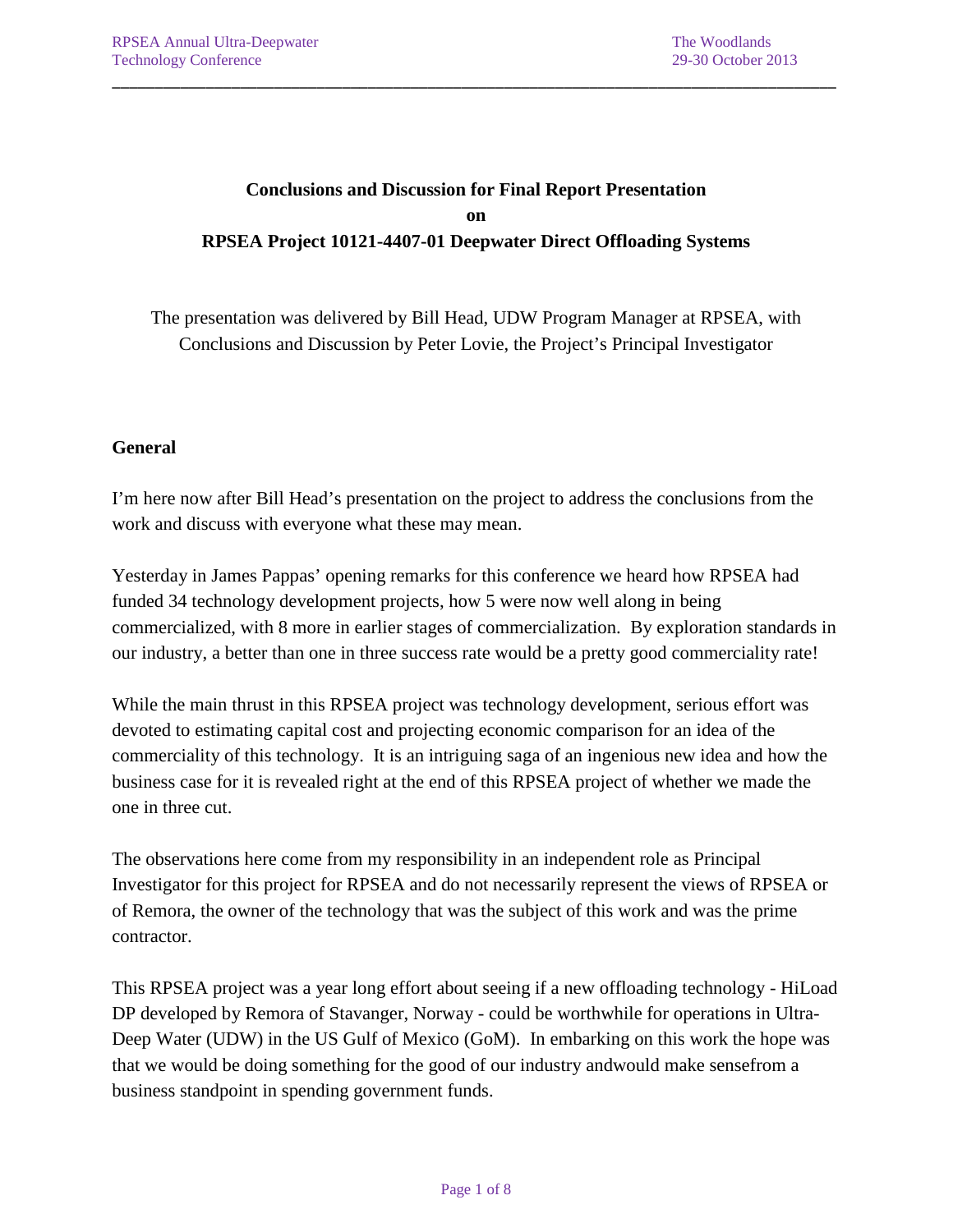## **Conclusions and Discussion for Final Report Presentation on RPSEA Project 10121-4407-01 Deepwater Direct Offloading Systems**

\_\_\_\_\_\_\_\_\_\_\_\_\_\_\_\_\_\_\_\_\_\_\_\_\_\_\_\_\_\_\_\_\_\_\_\_\_\_\_\_\_\_\_\_\_\_\_\_\_\_\_\_\_\_\_\_\_\_\_\_\_\_\_\_\_\_\_\_\_\_\_\_\_\_\_\_\_\_\_\_\_\_\_\_\_

The presentation was delivered by Bill Head, UDW Program Manager at RPSEA, with Conclusions and Discussion by Peter Lovie, the Project's Principal Investigator

### **General**

I'm here now after Bill Head's presentation on the project to address the conclusions from the work and discuss with everyone what these may mean.

Yesterday in James Pappas' opening remarks for this conference we heard how RPSEA had funded 34 technology development projects, how 5 were now well along in being commercialized, with 8 more in earlier stages of commercialization. By exploration standards in our industry, a better than one in three success rate would be a pretty good commerciality rate!

While the main thrust in this RPSEA project was technology development, serious effort was devoted to estimating capital cost and projecting economic comparison for an idea of the commerciality of this technology. It is an intriguing saga of an ingenious new idea and how the business case for it is revealed right at the end of this RPSEA project of whether we made the one in three cut.

The observations here come from my responsibility in an independent role as Principal Investigator for this project for RPSEA and do not necessarily represent the views of RPSEA or of Remora, the owner of the technology that was the subject of this work and was the prime contractor.

This RPSEA project was a year long effort about seeing if a new offloading technology - HiLoad DP developed by Remora of Stavanger, Norway - could be worthwhile for operations in Ultra-Deep Water (UDW) in the US Gulf of Mexico (GoM). In embarking on this work the hope was that we would be doing something for the good of our industry andwould make sensefrom a business standpoint in spending government funds.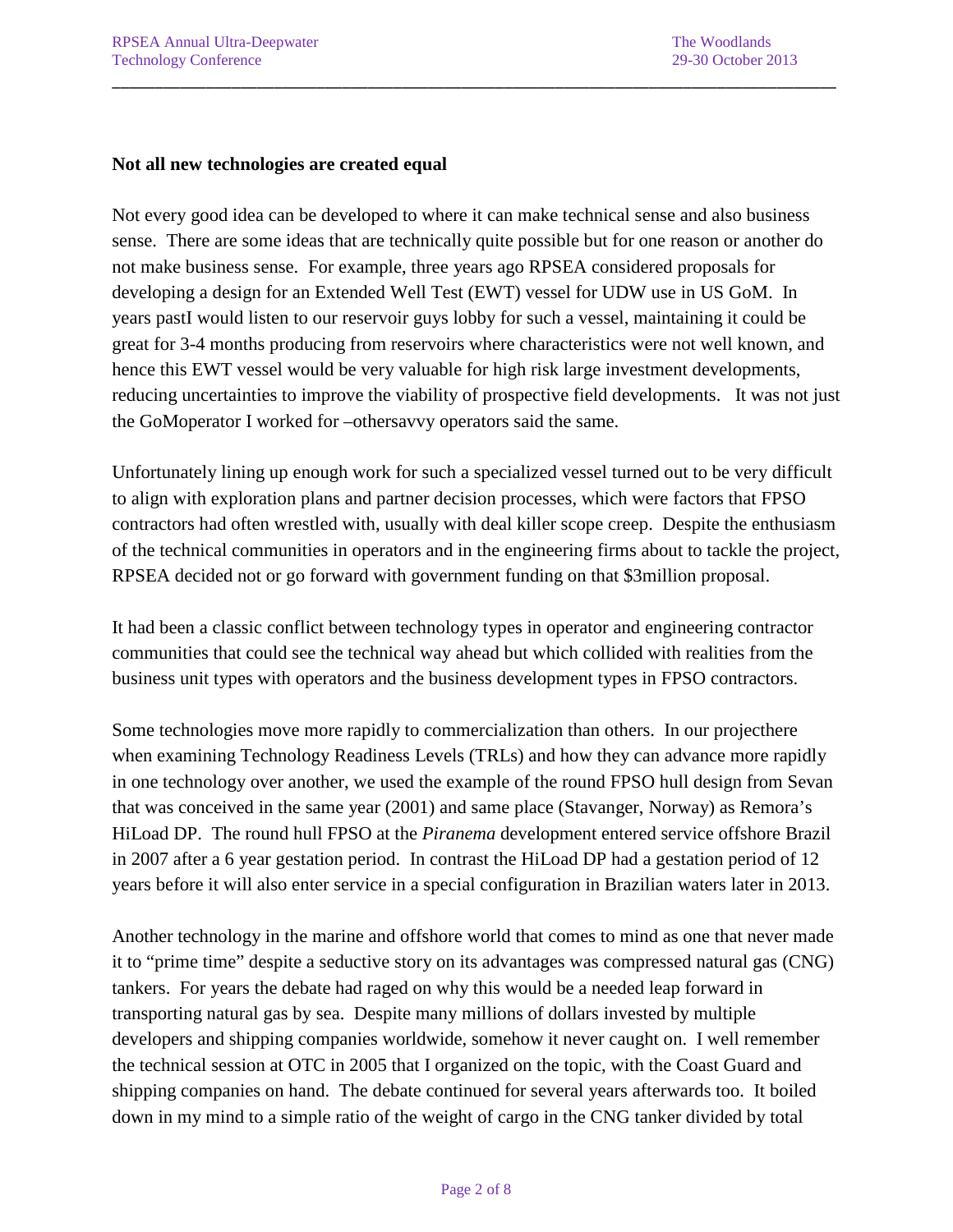#### **Not all new technologies are created equal**

Not every good idea can be developed to where it can make technical sense and also business sense. There are some ideas that are technically quite possible but for one reason or another do not make business sense. For example, three years ago RPSEA considered proposals for developing a design for an Extended Well Test (EWT) vessel for UDW use in US GoM. In years pastI would listen to our reservoir guys lobby for such a vessel, maintaining it could be great for 3-4 months producing from reservoirs where characteristics were not well known, and hence this EWT vessel would be very valuable for high risk large investment developments, reducing uncertainties to improve the viability of prospective field developments. It was not just the GoMoperator I worked for –othersavvy operators said the same.

\_\_\_\_\_\_\_\_\_\_\_\_\_\_\_\_\_\_\_\_\_\_\_\_\_\_\_\_\_\_\_\_\_\_\_\_\_\_\_\_\_\_\_\_\_\_\_\_\_\_\_\_\_\_\_\_\_\_\_\_\_\_\_\_\_\_\_\_\_\_\_\_\_\_\_\_\_\_\_\_\_\_\_\_\_

Unfortunately lining up enough work for such a specialized vessel turned out to be very difficult to align with exploration plans and partner decision processes, which were factors that FPSO contractors had often wrestled with, usually with deal killer scope creep. Despite the enthusiasm of the technical communities in operators and in the engineering firms about to tackle the project, RPSEA decided not or go forward with government funding on that \$3million proposal.

It had been a classic conflict between technology types in operator and engineering contractor communities that could see the technical way ahead but which collided with realities from the business unit types with operators and the business development types in FPSO contractors.

Some technologies move more rapidly to commercialization than others. In our projecthere when examining Technology Readiness Levels (TRLs) and how they can advance more rapidly in one technology over another, we used the example of the round FPSO hull design from Sevan that was conceived in the same year (2001) and same place (Stavanger, Norway) as Remora's HiLoad DP. The round hull FPSO at the *Piranema* development entered service offshore Brazil in 2007 after a 6 year gestation period. In contrast the HiLoad DP had a gestation period of 12 years before it will also enter service in a special configuration in Brazilian waters later in 2013.

Another technology in the marine and offshore world that comes to mind as one that never made it to "prime time" despite a seductive story on its advantages was compressed natural gas (CNG) tankers. For years the debate had raged on why this would be a needed leap forward in transporting natural gas by sea. Despite many millions of dollars invested by multiple developers and shipping companies worldwide, somehow it never caught on. I well remember the technical session at OTC in 2005 that I organized on the topic, with the Coast Guard and shipping companies on hand. The debate continued for several years afterwards too. It boiled down in my mind to a simple ratio of the weight of cargo in the CNG tanker divided by total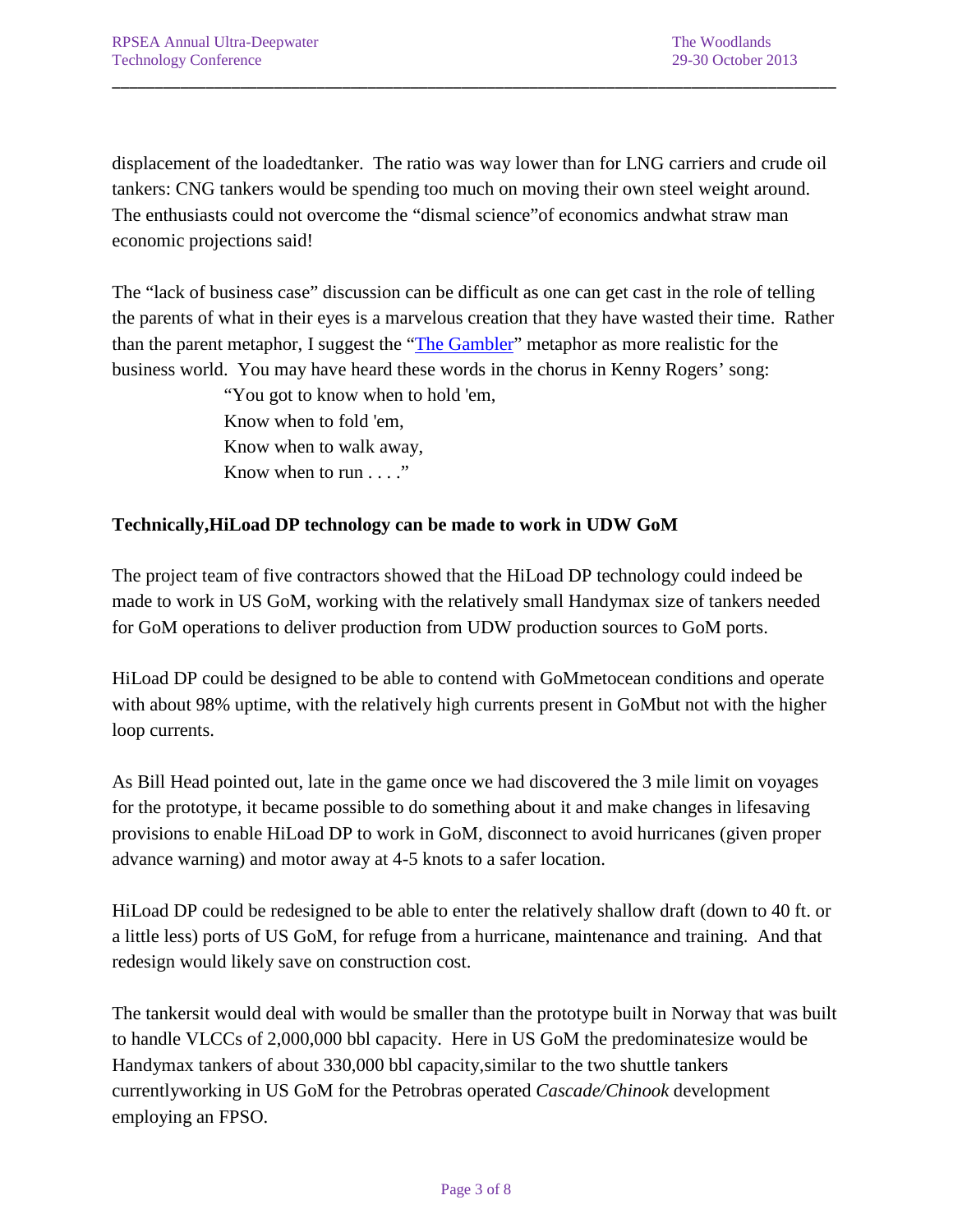displacement of the loadedtanker. The ratio was way lower than for LNG carriers and crude oil tankers: CNG tankers would be spending too much on moving their own steel weight around. The enthusiasts could not overcome the "dismal science"of economics andwhat straw man economic projections said!

\_\_\_\_\_\_\_\_\_\_\_\_\_\_\_\_\_\_\_\_\_\_\_\_\_\_\_\_\_\_\_\_\_\_\_\_\_\_\_\_\_\_\_\_\_\_\_\_\_\_\_\_\_\_\_\_\_\_\_\_\_\_\_\_\_\_\_\_\_\_\_\_\_\_\_\_\_\_\_\_\_\_\_\_\_

The "lack of business case" discussion can be difficult as one can get cast in the role of telling the parents of what in their eyes is a marvelous creation that they have wasted their time. Rather than the parent metaphor, I suggest the ["The Gambler"](http://lovie.org/Media/gambler.php) metaphor as more realistic for the business world. You may have heard these words in the chorus in Kenny Rogers' song:

> "You got to know when to hold 'em, Know when to fold 'em, Know when to walk away, Know when to run . . . ."

### **Technically,HiLoad DP technology can be made to work in UDW GoM**

The project team of five contractors showed that the HiLoad DP technology could indeed be made to work in US GoM, working with the relatively small Handymax size of tankers needed for GoM operations to deliver production from UDW production sources to GoM ports.

HiLoad DP could be designed to be able to contend with GoMmetocean conditions and operate with about 98% uptime, with the relatively high currents present in GoMbut not with the higher loop currents.

As Bill Head pointed out, late in the game once we had discovered the 3 mile limit on voyages for the prototype, it became possible to do something about it and make changes in lifesaving provisions to enable HiLoad DP to work in GoM, disconnect to avoid hurricanes (given proper advance warning) and motor away at 4-5 knots to a safer location.

HiLoad DP could be redesigned to be able to enter the relatively shallow draft (down to 40 ft. or a little less) ports of US GoM, for refuge from a hurricane, maintenance and training. And that redesign would likely save on construction cost.

The tankersit would deal with would be smaller than the prototype built in Norway that was built to handle VLCCs of 2,000,000 bbl capacity. Here in US GoM the predominatesize would be Handymax tankers of about 330,000 bbl capacity,similar to the two shuttle tankers currentlyworking in US GoM for the Petrobras operated *Cascade/Chinook* development employing an FPSO.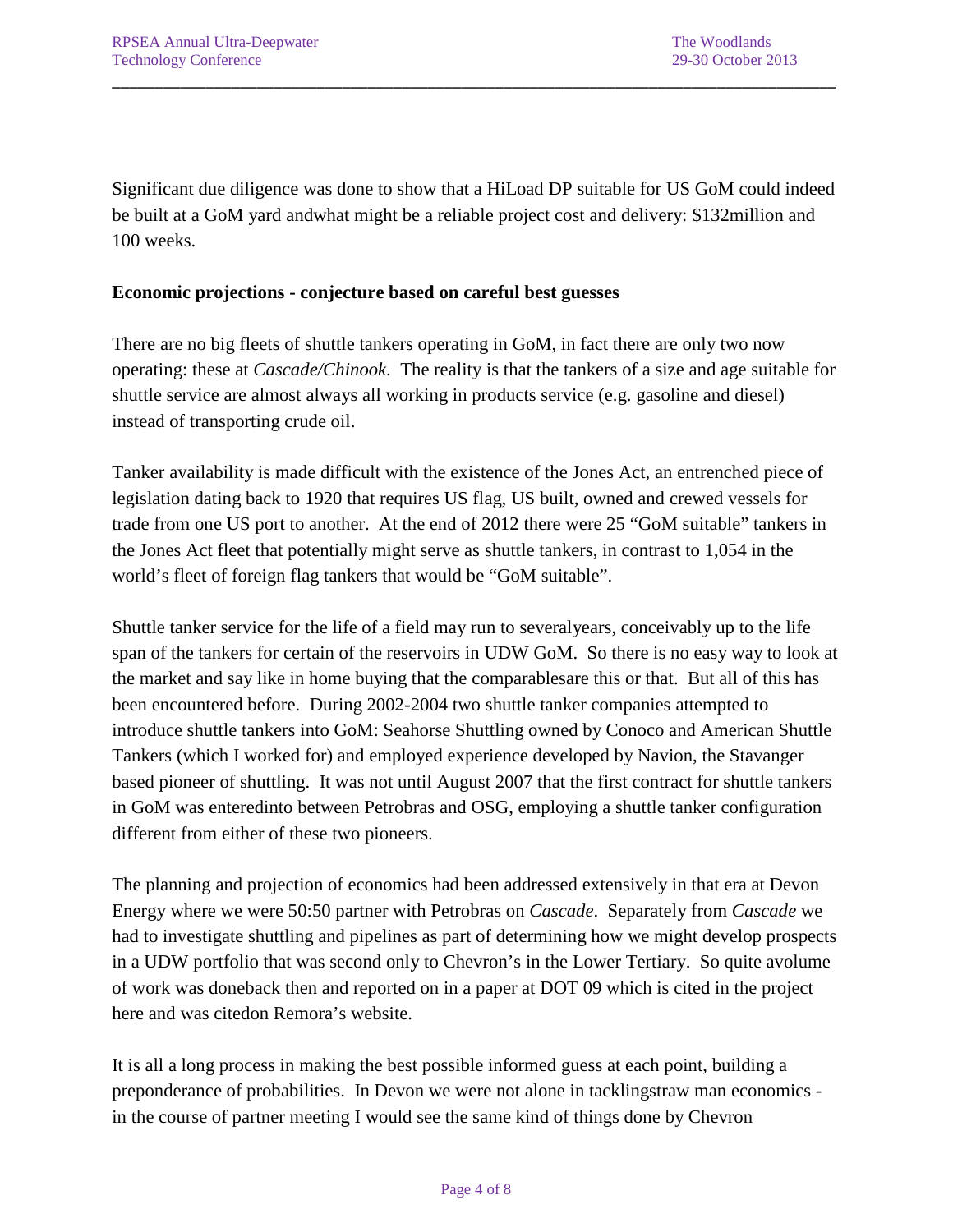Significant due diligence was done to show that a HiLoad DP suitable for US GoM could indeed be built at a GoM yard andwhat might be a reliable project cost and delivery: \$132million and 100 weeks.

\_\_\_\_\_\_\_\_\_\_\_\_\_\_\_\_\_\_\_\_\_\_\_\_\_\_\_\_\_\_\_\_\_\_\_\_\_\_\_\_\_\_\_\_\_\_\_\_\_\_\_\_\_\_\_\_\_\_\_\_\_\_\_\_\_\_\_\_\_\_\_\_\_\_\_\_\_\_\_\_\_\_\_\_\_

#### **Economic projections - conjecture based on careful best guesses**

There are no big fleets of shuttle tankers operating in GoM, in fact there are only two now operating: these at *Cascade/Chinook*. The reality is that the tankers of a size and age suitable for shuttle service are almost always all working in products service (e.g. gasoline and diesel) instead of transporting crude oil.

Tanker availability is made difficult with the existence of the Jones Act, an entrenched piece of legislation dating back to 1920 that requires US flag, US built, owned and crewed vessels for trade from one US port to another. At the end of 2012 there were 25 "GoM suitable" tankers in the Jones Act fleet that potentially might serve as shuttle tankers, in contrast to 1,054 in the world's fleet of foreign flag tankers that would be "GoM suitable".

Shuttle tanker service for the life of a field may run to severalyears, conceivably up to the life span of the tankers for certain of the reservoirs in UDW GoM. So there is no easy way to look at the market and say like in home buying that the comparablesare this or that. But all of this has been encountered before. During 2002-2004 two shuttle tanker companies attempted to introduce shuttle tankers into GoM: Seahorse Shuttling owned by Conoco and American Shuttle Tankers (which I worked for) and employed experience developed by Navion, the Stavanger based pioneer of shuttling. It was not until August 2007 that the first contract for shuttle tankers in GoM was enteredinto between Petrobras and OSG, employing a shuttle tanker configuration different from either of these two pioneers.

The planning and projection of economics had been addressed extensively in that era at Devon Energy where we were 50:50 partner with Petrobras on *Cascade*. Separately from *Cascade* we had to investigate shuttling and pipelines as part of determining how we might develop prospects in a UDW portfolio that was second only to Chevron's in the Lower Tertiary. So quite avolume of work was doneback then and reported on in a paper at DOT 09 which is cited in the project here and was citedon Remora's website.

It is all a long process in making the best possible informed guess at each point, building a preponderance of probabilities. In Devon we were not alone in tacklingstraw man economics in the course of partner meeting I would see the same kind of things done by Chevron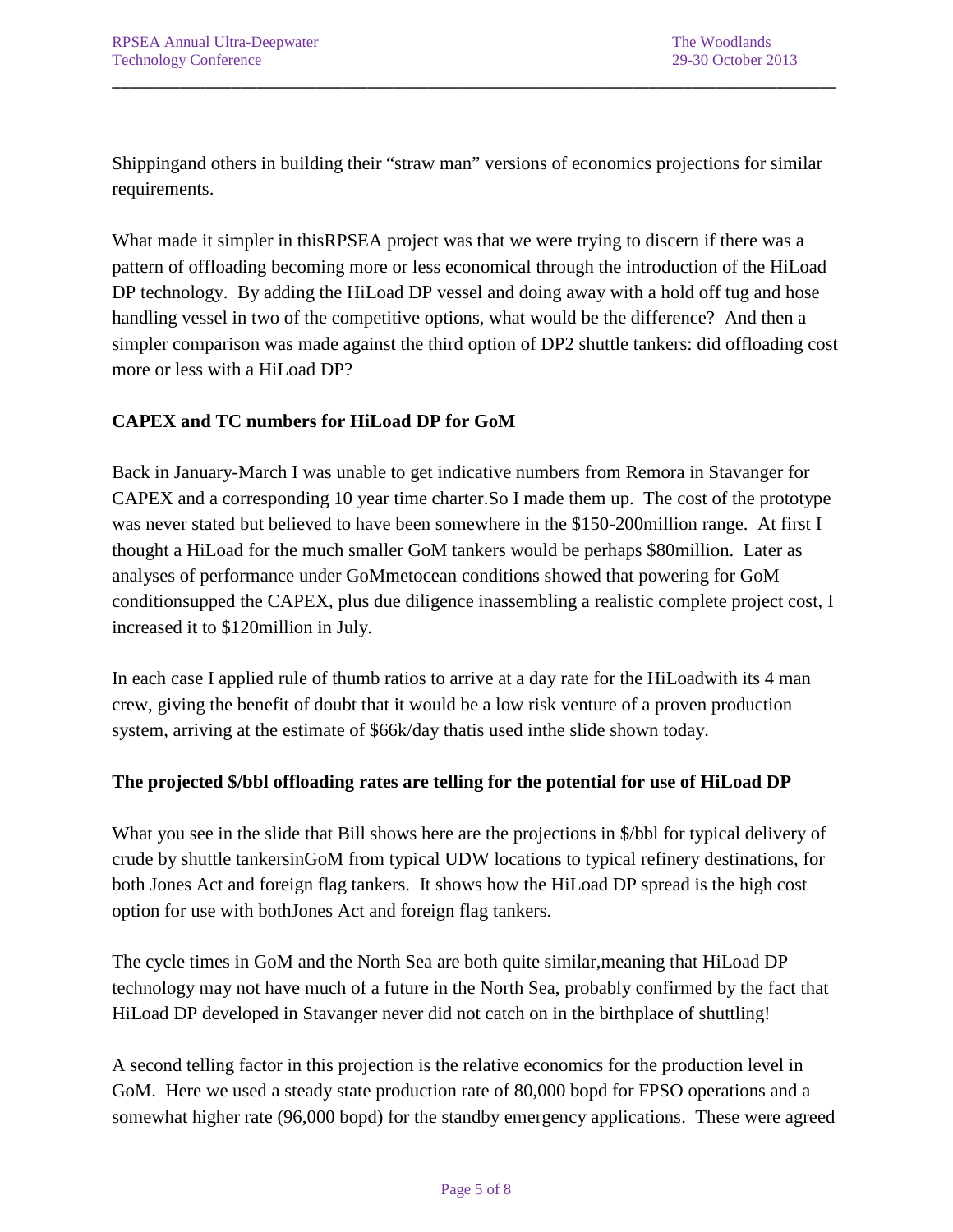Shippingand others in building their "straw man" versions of economics projections for similar requirements.

\_\_\_\_\_\_\_\_\_\_\_\_\_\_\_\_\_\_\_\_\_\_\_\_\_\_\_\_\_\_\_\_\_\_\_\_\_\_\_\_\_\_\_\_\_\_\_\_\_\_\_\_\_\_\_\_\_\_\_\_\_\_\_\_\_\_\_\_\_\_\_\_\_\_\_\_\_\_\_\_\_\_\_\_\_

What made it simpler in thisRPSEA project was that we were trying to discern if there was a pattern of offloading becoming more or less economical through the introduction of the HiLoad DP technology. By adding the HiLoad DP vessel and doing away with a hold off tug and hose handling vessel in two of the competitive options, what would be the difference? And then a simpler comparison was made against the third option of DP2 shuttle tankers: did offloading cost more or less with a HiLoad DP?

### **CAPEX and TC numbers for HiLoad DP for GoM**

Back in January-March I was unable to get indicative numbers from Remora in Stavanger for CAPEX and a corresponding 10 year time charter.So I made them up. The cost of the prototype was never stated but believed to have been somewhere in the \$150-200million range. At first I thought a HiLoad for the much smaller GoM tankers would be perhaps \$80million. Later as analyses of performance under GoMmetocean conditions showed that powering for GoM conditionsupped the CAPEX, plus due diligence inassembling a realistic complete project cost, I increased it to \$120million in July.

In each case I applied rule of thumb ratios to arrive at a day rate for the HiLoadwith its 4 man crew, giving the benefit of doubt that it would be a low risk venture of a proven production system, arriving at the estimate of \$66k/day thatis used inthe slide shown today.

#### **The projected \$/bbl offloading rates are telling for the potential for use of HiLoad DP**

What you see in the slide that Bill shows here are the projections in \$/bbl for typical delivery of crude by shuttle tankersinGoM from typical UDW locations to typical refinery destinations, for both Jones Act and foreign flag tankers. It shows how the HiLoad DP spread is the high cost option for use with bothJones Act and foreign flag tankers.

The cycle times in GoM and the North Sea are both quite similar,meaning that HiLoad DP technology may not have much of a future in the North Sea, probably confirmed by the fact that HiLoad DP developed in Stavanger never did not catch on in the birthplace of shuttling!

A second telling factor in this projection is the relative economics for the production level in GoM. Here we used a steady state production rate of 80,000 bopd for FPSO operations and a somewhat higher rate (96,000 bopd) for the standby emergency applications. These were agreed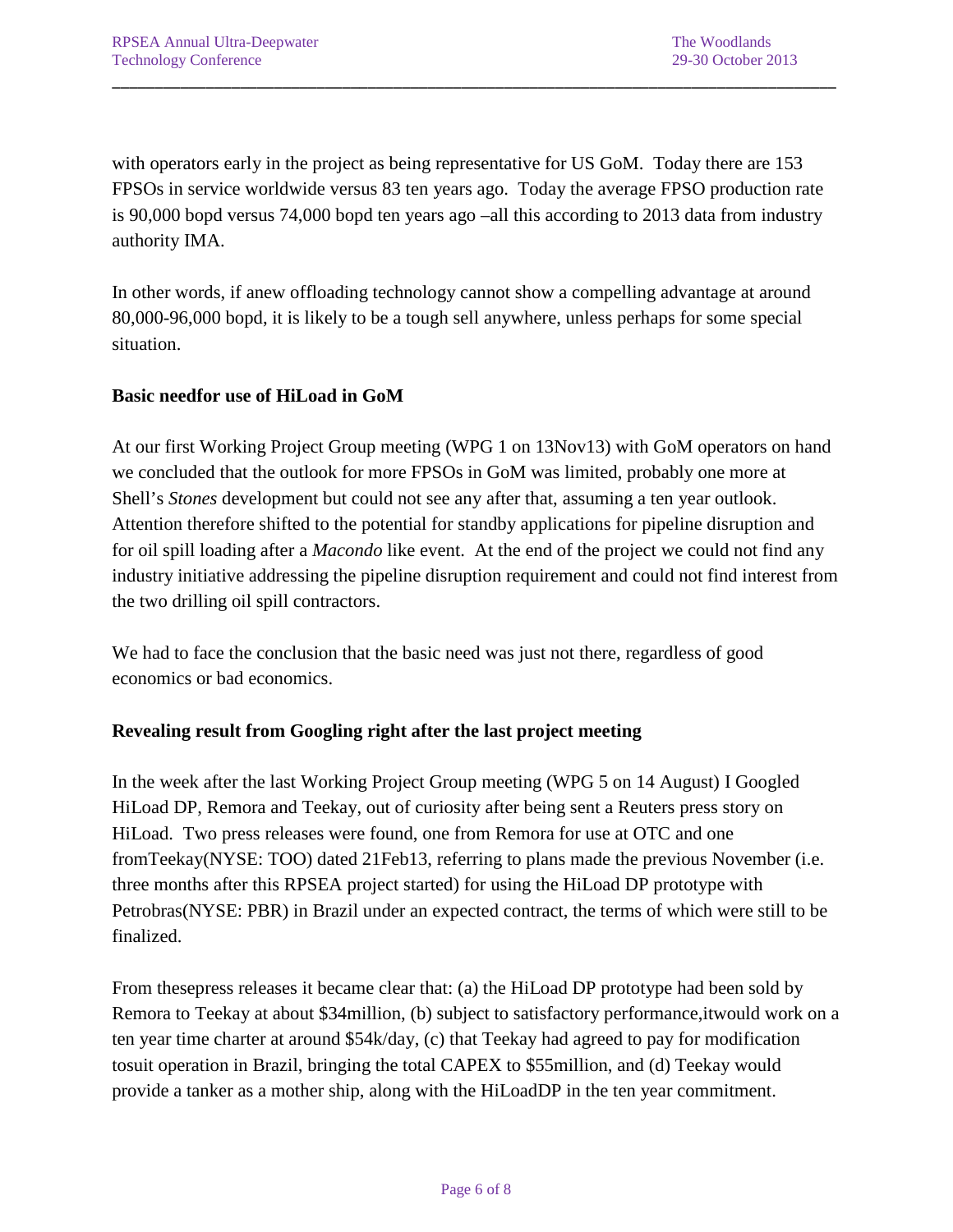with operators early in the project as being representative for US GoM. Today there are 153 FPSOs in service worldwide versus 83 ten years ago. Today the average FPSO production rate is 90,000 bopd versus 74,000 bopd ten years ago –all this according to 2013 data from industry authority IMA.

\_\_\_\_\_\_\_\_\_\_\_\_\_\_\_\_\_\_\_\_\_\_\_\_\_\_\_\_\_\_\_\_\_\_\_\_\_\_\_\_\_\_\_\_\_\_\_\_\_\_\_\_\_\_\_\_\_\_\_\_\_\_\_\_\_\_\_\_\_\_\_\_\_\_\_\_\_\_\_\_\_\_\_\_\_

In other words, if anew offloading technology cannot show a compelling advantage at around 80,000-96,000 bopd, it is likely to be a tough sell anywhere, unless perhaps for some special situation.

### **Basic needfor use of HiLoad in GoM**

At our first Working Project Group meeting (WPG 1 on 13Nov13) with GoM operators on hand we concluded that the outlook for more FPSOs in GoM was limited, probably one more at Shell's *Stones* development but could not see any after that, assuming a ten year outlook. Attention therefore shifted to the potential for standby applications for pipeline disruption and for oil spill loading after a *Macondo* like event. At the end of the project we could not find any industry initiative addressing the pipeline disruption requirement and could not find interest from the two drilling oil spill contractors.

We had to face the conclusion that the basic need was just not there, regardless of good economics or bad economics.

## **Revealing result from Googling right after the last project meeting**

In the week after the last Working Project Group meeting (WPG 5 on 14 August) I Googled HiLoad DP, Remora and Teekay, out of curiosity after being sent a Reuters press story on HiLoad. Two press releases were found, one from Remora for use at OTC and one fromTeekay(NYSE: TOO) dated 21Feb13, referring to plans made the previous November (i.e. three months after this RPSEA project started) for using the HiLoad DP prototype with Petrobras(NYSE: PBR) in Brazil under an expected contract, the terms of which were still to be finalized.

From thesepress releases it became clear that: (a) the HiLoad DP prototype had been sold by Remora to Teekay at about \$34million, (b) subject to satisfactory performance,itwould work on a ten year time charter at around \$54k/day, (c) that Teekay had agreed to pay for modification tosuit operation in Brazil, bringing the total CAPEX to \$55million, and (d) Teekay would provide a tanker as a mother ship, along with the HiLoadDP in the ten year commitment.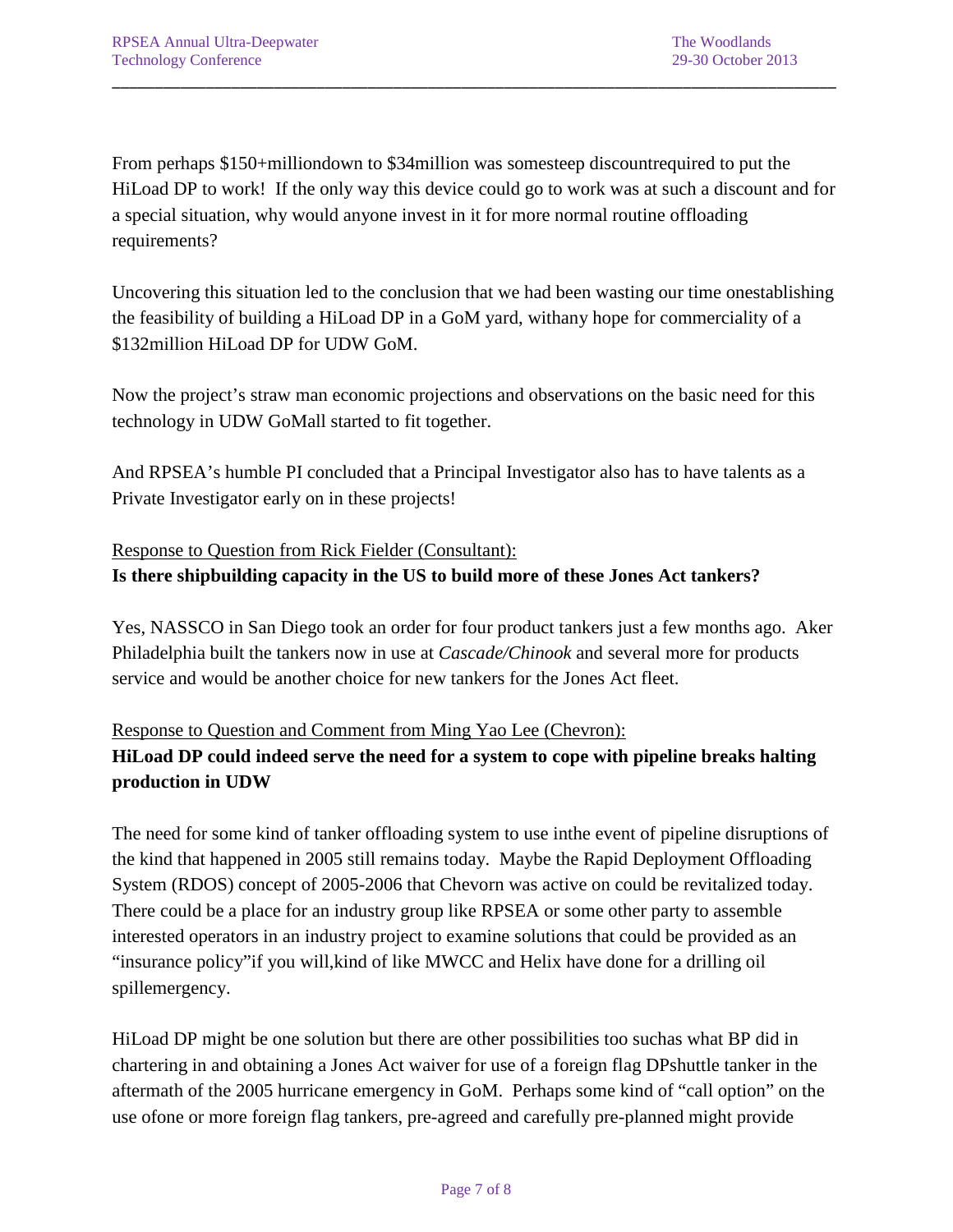From perhaps \$150+milliondown to \$34million was somesteep discountrequired to put the HiLoad DP to work! If the only way this device could go to work was at such a discount and for a special situation, why would anyone invest in it for more normal routine offloading requirements?

\_\_\_\_\_\_\_\_\_\_\_\_\_\_\_\_\_\_\_\_\_\_\_\_\_\_\_\_\_\_\_\_\_\_\_\_\_\_\_\_\_\_\_\_\_\_\_\_\_\_\_\_\_\_\_\_\_\_\_\_\_\_\_\_\_\_\_\_\_\_\_\_\_\_\_\_\_\_\_\_\_\_\_\_\_

Uncovering this situation led to the conclusion that we had been wasting our time onestablishing the feasibility of building a HiLoad DP in a GoM yard, withany hope for commerciality of a \$132million HiLoad DP for UDW GoM.

Now the project's straw man economic projections and observations on the basic need for this technology in UDW GoMall started to fit together.

And RPSEA's humble PI concluded that a Principal Investigator also has to have talents as a Private Investigator early on in these projects!

## Response to Question from Rick Fielder (Consultant): **Is there shipbuilding capacity in the US to build more of these Jones Act tankers?**

Yes, NASSCO in San Diego took an order for four product tankers just a few months ago. Aker Philadelphia built the tankers now in use at *Cascade/Chinook* and several more for products service and would be another choice for new tankers for the Jones Act fleet.

# Response to Question and Comment from Ming Yao Lee (Chevron):

# **HiLoad DP could indeed serve the need for a system to cope with pipeline breaks halting production in UDW**

The need for some kind of tanker offloading system to use inthe event of pipeline disruptions of the kind that happened in 2005 still remains today. Maybe the Rapid Deployment Offloading System (RDOS) concept of 2005-2006 that Chevorn was active on could be revitalized today. There could be a place for an industry group like RPSEA or some other party to assemble interested operators in an industry project to examine solutions that could be provided as an "insurance policy"if you will,kind of like MWCC and Helix have done for a drilling oil spillemergency.

HiLoad DP might be one solution but there are other possibilities too suchas what BP did in chartering in and obtaining a Jones Act waiver for use of a foreign flag DPshuttle tanker in the aftermath of the 2005 hurricane emergency in GoM. Perhaps some kind of "call option" on the use ofone or more foreign flag tankers, pre-agreed and carefully pre-planned might provide